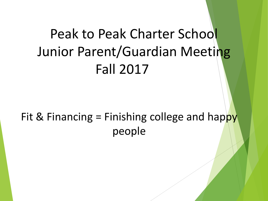# Peak to Peak Charter School Junior Parent/Guardian Meeting Fall 2017

#### Fit & Financing = Finishing college and happy people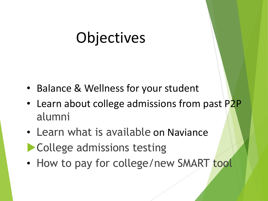#### **Objectives**

- Balance & Wellness for your student
- Learn about college admissions from past P2P alumni
- Learn what is available on Naviance **College admissions testing**
- How to pay for college/new SMART tool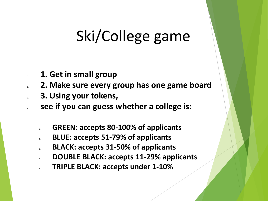# Ski/College game

- **1. 1. Get in small group**
- **2. 2. Make sure every group has one game board**
- **3. 3. Using your tokens,**
- **4. see if you can guess whether a college is:**
	- **1. GREEN: accepts 80-100% of applicants**
	- **2. BLUE: accepts 51-79% of applicants**
	- **3. BLACK: accepts 31-50% of applicants**
	- **4. DOUBLE BLACK: accepts 11-29% applicants**
	- **5. TRIPLE BLACK: accepts under 1-10%**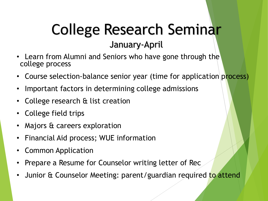#### College Research Seminar January-April

- Learn from Alumni and Seniors who have gone through the college process
- Course selection-balance senior year (time for application process)
- Important factors in determining college admissions
- College research & list creation
- College field trips
- Majors & careers exploration
- Financial Aid process; WUE information
- Common Application
- Prepare a Resume for Counselor writing letter of Rec
- Junior & Counselor Meeting: parent/guardian required to attend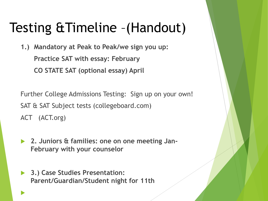#### Testing &Timeline –(Handout)

**1.) Mandatory at Peak to Peak/we sign you up: Practice SAT with essay: February CO STATE SAT (optional essay) April**

Further College Admissions Testing: Sign up on your own! SAT & SAT Subject tests (collegeboard.com) ACT (ACT.org)

- **2. Juniors & families: one on one meeting Jan-February with your counselor**
- **3.) Case Studies Presentation: Parent/Guardian/Student night for 11th**

 $\blacktriangleright$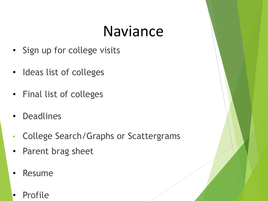#### Naviance

- Sign up for college visits
- Ideas list of colleges
- Final list of colleges
- **Deadlines**
- College Search/Graphs or Scattergrams
- Parent brag sheet
- Resume
- Profile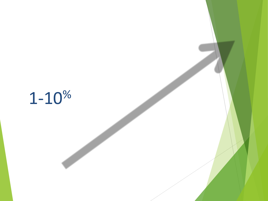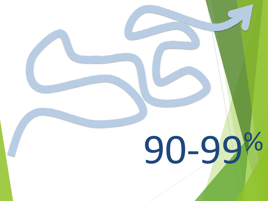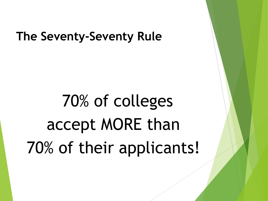#### **The Seventy-Seventy Rule**

# 70% of colleges accept MORE than 70% of their applicants!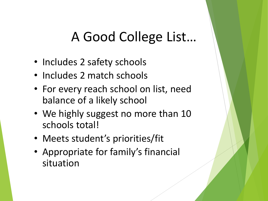#### A Good College List…

- Includes 2 safety schools
- Includes 2 match schools
- For every reach school on list, need balance of a likely school
- We highly suggest no more than 10 schools total!
- Meets student's priorities/fit
- Appropriate for family's financial situation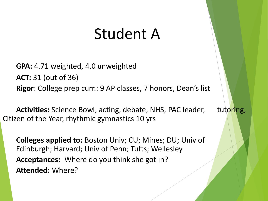#### Student A

**GPA:** 4.71 weighted, 4.0 unweighted **ACT:** 31 (out of 36) **Rigor**: College prep curr.: 9 AP classes, 7 honors, Dean's list

Activities: Science Bowl, acting, debate, NHS, PAC leader, tutoring, Citizen of the Year, rhythmic gymnastics 10 yrs

**Colleges applied to:** Boston Univ; CU; Mines; DU; Univ of Edinburgh; Harvard; Univ of Penn; Tufts; Wellesley **Acceptances:** Where do you think she got in? **Attended:** Where?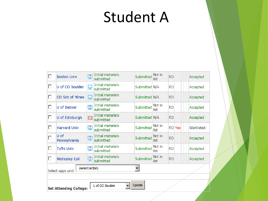# Student A

| Update<br>U of CO Boulder<br><b>Set Attending College:</b> |                       |                |                                |               |                |           |  |            |
|------------------------------------------------------------|-----------------------|----------------|--------------------------------|---------------|----------------|-----------|--|------------|
|                                                            |                       |                |                                |               |                |           |  |            |
| (select action)<br>Select apps and:                        |                       |                |                                |               |                |           |  |            |
| П                                                          | <b>Wellesley Coll</b> | ₽              | Initial materials<br>submitted | Submitted     | Not in<br>list | <b>RD</b> |  | Accepted   |
|                                                            | <b>Tufts Univ</b>     | $\mathbf{P}$   | Initial materials<br>submitted | Submitted     | Not in<br>list | <b>RD</b> |  | Accepted   |
|                                                            | U of<br>Pennsylvania  | $\mathbf{r}$   | Initial materials<br>submitted | Submitted     | Not in<br>list | <b>RD</b> |  | Accepted   |
|                                                            | <b>Harvard Univ</b>   | $\mathbf{r}$   | Initial materials<br>submitted | Submitted     | Not in<br>list | RD Yes    |  | Waitlisted |
| П                                                          | U of Edinburgh        |                | Initial materials<br>submitted | Submitted N/A |                | <b>RD</b> |  | Accepted   |
| п                                                          | U of Denver           | $\overline{?}$ | Initial materials<br>submitted | Submitted     | Not in<br>list | <b>RD</b> |  | Accepted   |
| П                                                          | CO Sch of Mines       | 모              | Initial materials<br>submitted | Submitted N/A |                | <b>RD</b> |  | Accepted   |
| п                                                          | U of CO Boulder       | 모              | Initial materials<br>submitted | Submitted N/A |                | <b>RD</b> |  | Accepted   |
|                                                            | <b>Boston Univ</b>    | $\overline{2}$ | Initial materials<br>submitted | Submitted     | Not in<br>list | <b>RD</b> |  | Accepted   |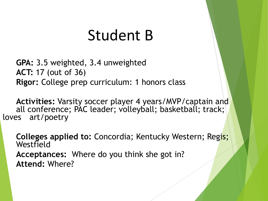#### Student B

**GPA:** 3.5 weighted, 3.4 unweighted **ACT:** 17 (out of 36) **Rigor:** College prep curriculum: 1 honors class

**Activities:** Varsity soccer player 4 years/MVP/captain and all conference; PAC leader; volleyball; basketball; track; loves art/poetry

**Colleges applied to:** Concordia; Kentucky Western; Regis; Westfield **Acceptances:** Where do you think she got in? **Attend:** Where?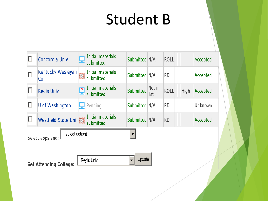#### Student B

|                                                       | Concordia Univ            | 딮             | Initial materials<br>submitted | Submitted N/A |                | <b>ROLL</b> |  |      | Accepted |
|-------------------------------------------------------|---------------------------|---------------|--------------------------------|---------------|----------------|-------------|--|------|----------|
| П                                                     | Kentucky Wesleyan<br>Coll | 簋             | Initial materials<br>submitted | Submitted N/A |                | <b>RD</b>   |  |      | Accepted |
| П                                                     | <b>Regis Univ</b>         | $\frac{2}{3}$ | Initial materials<br>submitted | Submitted     | Not in<br>list | <b>ROLL</b> |  | High | Accepted |
|                                                       | U of Washington           |               | Pending                        | Submitted N/A |                | <b>RD</b>   |  |      | Unknown  |
| Π                                                     | Westfield State Uni       | Ħ             | Initial materials<br>submitted | Submitted N/A |                | <b>RD</b>   |  |      | Accepted |
| (select action)<br>Select apps and:                   |                           |               |                                |               |                |             |  |      |          |
| Update<br>Regis Univ<br><b>Set Attending College:</b> |                           |               |                                |               |                |             |  |      |          |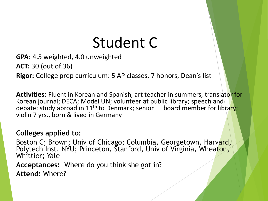# Student C

**GPA:** 4.5 weighted, 4.0 unweighted **ACT:** 30 (out of 36) **Rigor:** College prep curriculum: 5 AP classes, 7 honors, Dean's list

**Activities:** Fluent in Korean and Spanish, art teacher in summers, translator for Korean journal; DECA; Model UN; volunteer at public library; speech and debate; study abroad in 11<sup>th</sup> to Denmark; senior board member for library; violin 7 yrs., born & lived in Germany

#### **Colleges applied to:**

Boston C; Brown; Univ of Chicago; Columbia, Georgetown, Harvard, Polytech Inst. NYU; Princeton, Stanford, Univ of Virginia, Wheaton, Whittier; Yale

**Acceptances:** Where do you think she got in?

**Attend:** Where?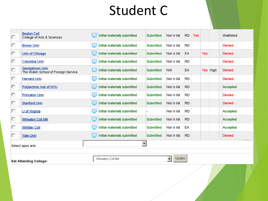#### Student C

| П                | <b>Boston Coll</b><br><b>College of Arts &amp; Sciences</b>                            | 뗻         | Initial materials submitted | <b>Submitted</b> | Not in list | <b>RD</b> | Yes |            |          | Waitlisted    |
|------------------|----------------------------------------------------------------------------------------|-----------|-----------------------------|------------------|-------------|-----------|-----|------------|----------|---------------|
| П                | <b>Brown Univ</b>                                                                      | <b>CA</b> | Initial materials submitted | Submitted        | Not in list | <b>RD</b> |     |            |          | <b>Denied</b> |
| п                | Univ of Chicago                                                                        | ĻΩ        | Initial materials submitted | Submitted        | Not in list | EA        |     | <b>Yes</b> |          | <b>Denied</b> |
| П                | Columbia Univ                                                                          | <u>CA</u> | Initial materials submitted | Submitted        | Not in list | <b>RD</b> |     |            |          | Denied        |
| Π                | Georgetown Univ<br>The Walsh School of Foreign Service                                 | 5         | Initial materials submitted | Submitted        | N/A         | EA        |     |            | Yes High | <b>Denied</b> |
| П                | <b>Harvard Univ</b>                                                                    | <u>CA</u> | Initial materials submitted | Submitted        | Not in list | <b>RD</b> |     |            |          | <b>Denied</b> |
| П                | Polytechnic Inst of NYU                                                                | 똊         | Initial materials submitted | Submitted        | Not in list | <b>RD</b> |     |            |          | Accepted      |
| П                | <b>Princeton Univ</b>                                                                  | <u>CA</u> | Initial materials submitted | Submitted        | Not in list | <b>RD</b> |     |            |          | <b>Denied</b> |
| П                | <b>Stanford Univ</b>                                                                   | 똊         | Initial materials submitted | Submitted        | Not in list | RD.       |     |            |          | Denied        |
| П                | U of Virginia                                                                          | 똊         | Initial materials submitted |                  | Not in list | <b>RD</b> |     |            |          | Accepted      |
| 口                | Wheaton Coll MA                                                                        | 똎         | Initial materials submitted | Submitted        | Not in list | <b>RD</b> |     |            |          | Accepted      |
| П                | <b>Whittier Coll</b>                                                                   | <u>CA</u> | Initial materials submitted | Submitted        | Not in list | EA        |     |            |          | Accepted      |
| П                | Yale Univ                                                                              | 뎩         | Initial materials submitted | Submitted        | Not in list | <b>RD</b> |     |            |          | Denied        |
| Select apps and: |                                                                                        |           |                             |                  |             |           |     |            |          |               |
|                  |                                                                                        |           |                             |                  |             |           |     |            |          |               |
|                  | $\overline{\phantom{a}}$<br>Update<br>Wheaton Coll MA<br><b>Set Attending College:</b> |           |                             |                  |             |           |     |            |          |               |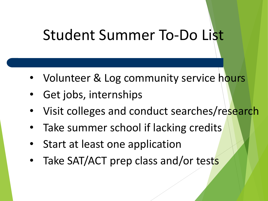# Student Summer To-Do List

- Volunteer & Log community service hours
- Get jobs, internships
- Visit colleges and conduct searches/research
- Take summer school if lacking credits
- Start at least one application
- Take SAT/ACT prep class and/or tests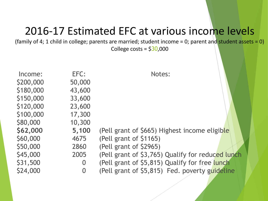#### 2016-17 Estimated EFC at various income levels

(family of 4; 1 child in college; parents are married; student income = 0; parent and student assets = 0)

College costs =  $$30,000$ 

| Income:   | EFC:           | Notes:                                            |
|-----------|----------------|---------------------------------------------------|
| \$200,000 | 50,000         |                                                   |
| \$180,000 | 43,600         |                                                   |
| \$150,000 | 33,600         |                                                   |
| \$120,000 | 23,600         |                                                   |
| \$100,000 | 17,300         |                                                   |
| \$80,000  | 10,300         |                                                   |
| \$62,000  | 5,100          | (Pell grant of \$665) Highest income eligible     |
| \$60,000  | 4675           | (Pell grant of \$1165)                            |
| \$50,000  | 2860           | (Pell grant of \$2965)                            |
| \$45,000  | 2005           | (Pell grant of \$3,765) Qualify for reduced lunch |
| \$31,500  | $\overline{0}$ | (Pell grant of \$5,815) Qualify for free lunch    |
| \$24,000  | $\overline{0}$ | (Pell grant of \$5,815) Fed. poverty guideline    |
|           |                |                                                   |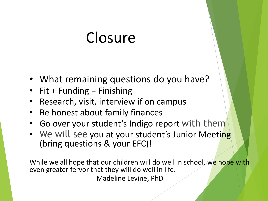#### **Closure**

- What remaining questions do you have?
- Fit + Funding  $=$  Finishing
- Research, visit, interview if on campus
- Be honest about family finances
- Go over your student's Indigo report with them
- We will see you at your student's Junior Meeting (bring questions & your EFC)!

While we all hope that our children will do well in school, we hope with even greater fervor that they will do well in life. Madeline Levine, PhD